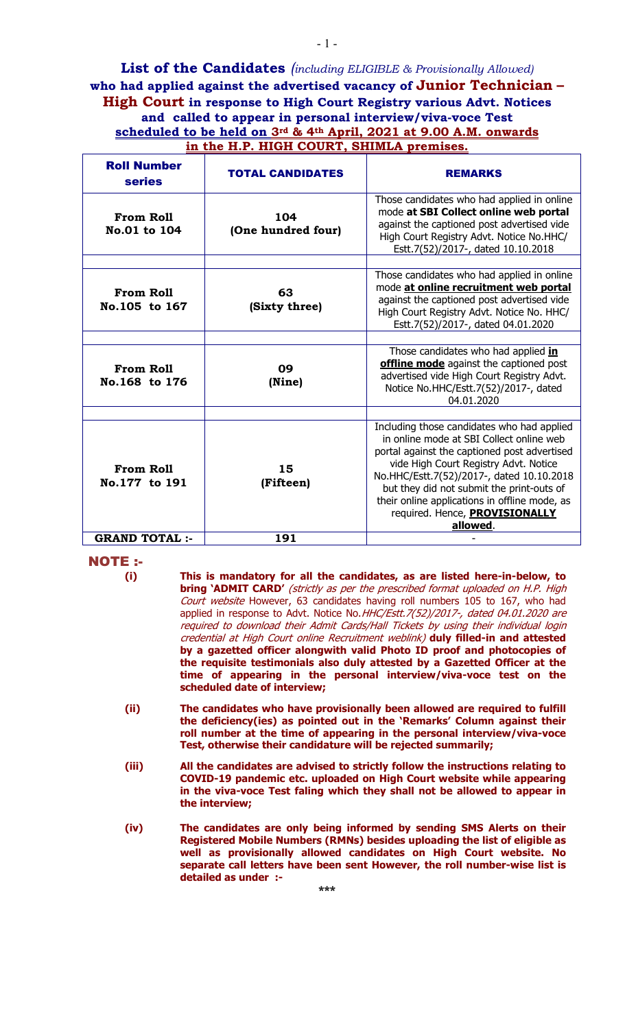**List of the Candidates** *(including ELIGIBLE & Provisionally Allowed)* **who had applied against the advertised vacancy of Junior Technician – High Court in response to High Court Registry various Advt. Notices and called to appear in personal interview/viva-voce Test scheduled to be held on 3rd & 4th April, 2021 at 9.00 A.M. onwards in the H.P. HIGH COURT, SHIMLA premises.**

| <b>Roll Number</b><br><b>series</b> | <b>TOTAL CANDIDATES</b>   | <b>REMARKS</b>                                                                                                                                                                                                                                                                                                                                                           |
|-------------------------------------|---------------------------|--------------------------------------------------------------------------------------------------------------------------------------------------------------------------------------------------------------------------------------------------------------------------------------------------------------------------------------------------------------------------|
| From Roll<br>No.01 to 104           | 104<br>(One hundred four) | Those candidates who had applied in online<br>mode at SBI Collect online web portal<br>against the captioned post advertised vide<br>High Court Registry Advt. Notice No.HHC/<br>Estt.7(52)/2017-, dated 10.10.2018                                                                                                                                                      |
| <b>From Roll</b><br>No.105 to 167   | 63<br>(Sixty three)       | Those candidates who had applied in online<br>mode at online recruitment web portal<br>against the captioned post advertised vide<br>High Court Registry Advt. Notice No. HHC/<br>Estt.7(52)/2017-, dated 04.01.2020                                                                                                                                                     |
| <b>From Roll</b><br>No.168 to 176   | 09<br>(Nine)              | Those candidates who had applied in<br>offline mode against the captioned post<br>advertised vide High Court Registry Advt.<br>Notice No.HHC/Estt.7(52)/2017-, dated<br>04.01.2020                                                                                                                                                                                       |
| <b>From Roll</b><br>No.177 to 191   | 15<br>(Fifteen)           | Including those candidates who had applied<br>in online mode at SBI Collect online web<br>portal against the captioned post advertised<br>vide High Court Registry Advt. Notice<br>No.HHC/Estt.7(52)/2017-, dated 10.10.2018<br>but they did not submit the print-outs of<br>their online applications in offline mode, as<br>required. Hence, PROVISIONALLY<br>allowed. |
| <b>GRAND TOTAL :-</b>               | 191                       |                                                                                                                                                                                                                                                                                                                                                                          |

NOTE :-

- **(ii) The candidates who have provisionally been allowed are required to fulfill the deficiency(ies) as pointed out in the 'Remarks' Column against their roll number at the time of appearing in the personal interview/viva-voce Test, otherwise their candidature will be rejected summarily;**
- **(iii) All the candidates are advised to strictly follow the instructions relating to COVID-19 pandemic etc. uploaded on High Court website while appearing in the viva-voce Test faling which they shall not be allowed to appear in the interview;**
- **(iv) The candidates are only being informed by sending SMS Alerts on their Registered Mobile Numbers (RMNs) besides uploading the list of eligible as well as provisionally allowed candidates on High Court website. No separate call letters have been sent However, the roll number-wise list is detailed as under :-**

**<sup>(</sup>i) This is mandatory for all the candidates, as are listed here-in-below, to bring 'ADMIT CARD'** (strictly as per the prescribed format uploaded on H.P. High Court website However, 63 candidates having roll numbers 105 to 167, who had applied in response to Advt. Notice No. HHC/Estt. 7(52)/2017-, dated 04.01.2020 are required to download their Admit Cards/Hall Tickets by using their individual login credential at High Court online Recruitment weblink) **duly filled-in and attested by a gazetted officer alongwith valid Photo ID proof and photocopies of the requisite testimonials also duly attested by a Gazetted Officer at the time of appearing in the personal interview/viva-voce test on the scheduled date of interview;**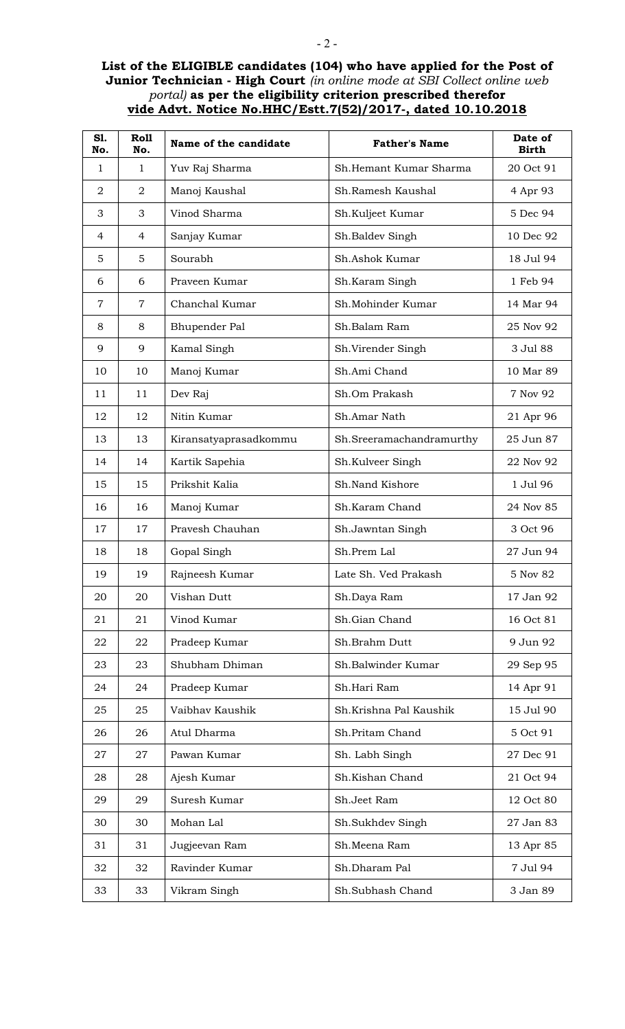## **List of the ELIGIBLE candidates (104) who have applied for the Post of Junior Technician - High Court** *(in online mode at SBI Collect online web portal)* **as per the eligibility criterion prescribed therefor vide Advt. Notice No.HHC/Estt.7(52)/2017-, dated 10.10.2018**

| S1.<br>No.     | <b>Roll</b><br>No. | Name of the candidate | <b>Father's Name</b>     | Date of<br><b>Birth</b> |
|----------------|--------------------|-----------------------|--------------------------|-------------------------|
| $\mathbf{1}$   | $\mathbf{1}$       | Yuv Raj Sharma        | Sh. Hemant Kumar Sharma  | 20 Oct 91               |
| 2              | $\overline{2}$     | Manoj Kaushal         | Sh.Ramesh Kaushal        | 4 Apr 93                |
| 3              | 3                  | Vinod Sharma          | Sh.Kuljeet Kumar         | 5 Dec 94                |
| $\overline{4}$ | $\overline{4}$     | Sanjay Kumar          | Sh.Baldev Singh          | 10 Dec 92               |
| 5              | 5                  | Sourabh               | Sh.Ashok Kumar           | 18 Jul 94               |
| 6              | 6                  | Praveen Kumar         | Sh.Karam Singh           | 1 Feb 94                |
| $\overline{7}$ | $\overline{7}$     | Chanchal Kumar        | Sh.Mohinder Kumar        | 14 Mar 94               |
| 8              | 8                  | Bhupender Pal         | Sh.Balam Ram             | 25 Nov 92               |
| 9              | 9                  | Kamal Singh           | Sh.Virender Singh        | 3 Jul 88                |
| 10             | 10                 | Manoj Kumar           | Sh.Ami Chand             | 10 Mar 89               |
| 11             | 11                 | Dev Raj               | Sh.Om Prakash            | 7 Nov 92                |
| 12             | 12                 | Nitin Kumar           | Sh.Amar Nath             | 21 Apr 96               |
| 13             | 13                 | Kiransatyaprasadkommu | Sh.Sreeramachandramurthy | 25 Jun 87               |
| 14             | 14                 | Kartik Sapehia        | Sh.Kulveer Singh         | 22 Nov 92               |
| 15             | 15                 | Prikshit Kalia        | Sh.Nand Kishore          | 1 Jul 96                |
| 16             | 16                 | Manoj Kumar           | Sh.Karam Chand           | 24 Nov 85               |
| 17             | 17                 | Pravesh Chauhan       | Sh.Jawntan Singh         | 3 Oct 96                |
| 18             | 18                 | Gopal Singh           | Sh.Prem Lal              | 27 Jun 94               |
| 19             | 19                 | Rajneesh Kumar        | Late Sh. Ved Prakash     | 5 Nov 82                |
| 20             | 20                 | Vishan Dutt           | Sh.Daya Ram              | 17 Jan 92               |
| 21             | 21                 | Vinod Kumar           | Sh.Gian Chand            | 16 Oct 81               |
| 22             | 22                 | Pradeep Kumar         | Sh.Brahm Dutt            | 9 Jun 92                |
| 23             | 23                 | Shubham Dhiman        | Sh.Balwinder Kumar       | 29 Sep 95               |
| 24             | 24                 | Pradeep Kumar         | Sh.Hari Ram              | 14 Apr 91               |
| 25             | 25                 | Vaibhav Kaushik       | Sh.Krishna Pal Kaushik   | 15 Jul 90               |
| 26             | 26                 | Atul Dharma           | Sh.Pritam Chand          | 5 Oct 91                |
| 27             | 27                 | Pawan Kumar           | Sh. Labh Singh           | 27 Dec 91               |
| 28             | 28                 | Ajesh Kumar           | Sh.Kishan Chand          | 21 Oct 94               |
| 29             | 29                 | Suresh Kumar          | Sh.Jeet Ram              | 12 Oct 80               |
| 30             | 30                 | Mohan Lal             | Sh.Sukhdev Singh         | 27 Jan 83               |
| 31             | 31                 | Jugjeevan Ram         | Sh.Meena Ram             | 13 Apr 85               |
| 32             | 32                 | Ravinder Kumar        | Sh.Dharam Pal            | 7 Jul 94                |
| 33             | 33                 | Vikram Singh          | Sh.Subhash Chand         | 3 Jan 89                |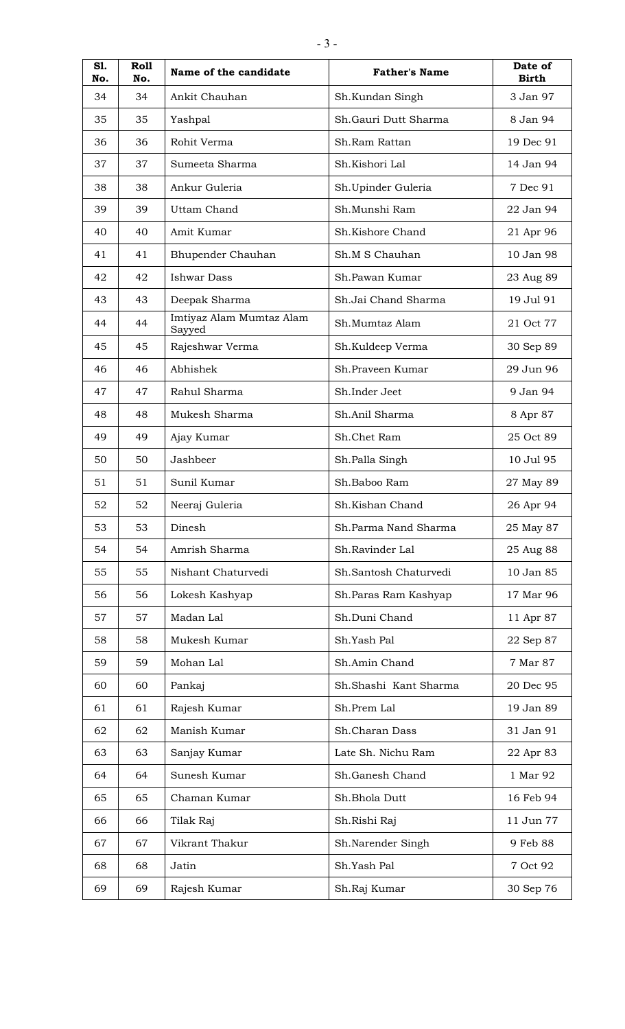| S1.<br>No. | Roll<br>No. | Name of the candidate              | <b>Father's Name</b>  | Date of<br><b>Birth</b> |
|------------|-------------|------------------------------------|-----------------------|-------------------------|
| 34         | 34          | Ankit Chauhan                      | Sh.Kundan Singh       | 3 Jan 97                |
| 35         | 35          | Yashpal                            | Sh.Gauri Dutt Sharma  | 8 Jan 94                |
| 36         | 36          | Rohit Verma                        | Sh.Ram Rattan         | 19 Dec 91               |
| 37         | 37          | Sumeeta Sharma                     | Sh.Kishori Lal        | 14 Jan 94               |
| 38         | 38          | Ankur Guleria                      | Sh.Upinder Guleria    | 7 Dec 91                |
| 39         | 39          | Uttam Chand                        | Sh.Munshi Ram         | 22 Jan 94               |
| 40         | 40          | Amit Kumar                         | Sh.Kishore Chand      | 21 Apr 96               |
| 41         | 41          | Bhupender Chauhan                  | Sh.M S Chauhan        | 10 Jan 98               |
| 42         | 42          | <b>Ishwar Dass</b>                 | Sh.Pawan Kumar        | 23 Aug 89               |
| 43         | 43          | Deepak Sharma                      | Sh.Jai Chand Sharma   | 19 Jul 91               |
| 44         | 44          | Imtiyaz Alam Mumtaz Alam<br>Sayyed | Sh.Mumtaz Alam        | 21 Oct 77               |
| 45         | 45          | Rajeshwar Verma                    | Sh.Kuldeep Verma      | 30 Sep 89               |
| 46         | 46          | Abhishek                           | Sh.Praveen Kumar      | 29 Jun 96               |
| 47         | 47          | Rahul Sharma                       | Sh.Inder Jeet         | 9 Jan 94                |
| 48         | 48          | Mukesh Sharma                      | Sh.Anil Sharma        | 8 Apr 87                |
| 49         | 49          | Ajay Kumar                         | Sh.Chet Ram           | 25 Oct 89               |
| 50         | 50          | Jashbeer                           | Sh.Palla Singh        | 10 Jul 95               |
| 51         | 51          | Sunil Kumar                        | Sh.Baboo Ram          | 27 May 89               |
| 52         | 52          | Neeraj Guleria                     | Sh.Kishan Chand       | 26 Apr 94               |
| 53         | 53          | Dinesh                             | Sh.Parma Nand Sharma  | 25 May 87               |
| 54         | 54          | Amrish Sharma                      | Sh.Ravinder Lal       | 25 Aug 88               |
| 55         | 55          | Nishant Chaturvedi                 | Sh.Santosh Chaturvedi | 10 Jan 85               |
| 56         | 56          | Lokesh Kashyap                     | Sh.Paras Ram Kashyap  | 17 Mar 96               |
| 57         | 57          | Madan Lal                          | Sh.Duni Chand         | 11 Apr 87               |
| 58         | 58          | Mukesh Kumar                       | Sh.Yash Pal           | 22 Sep 87               |
| 59         | 59          | Mohan Lal                          | Sh.Amin Chand         | 7 Mar 87                |
| 60         | 60          | Pankaj                             | Sh.Shashi Kant Sharma | 20 Dec 95               |
| 61         | 61          | Rajesh Kumar                       | Sh.Prem Lal           | 19 Jan 89               |
| 62         | 62          | Manish Kumar                       | Sh.Charan Dass        | 31 Jan 91               |
| 63         | 63          | Sanjay Kumar                       | Late Sh. Nichu Ram    | 22 Apr 83               |
| 64         | 64          | Sunesh Kumar                       | Sh.Ganesh Chand       | 1 Mar 92                |
| 65         | 65          | Chaman Kumar                       | Sh.Bhola Dutt         | 16 Feb 94               |
| 66         | 66          | Tilak Raj                          | Sh.Rishi Raj          | 11 Jun 77               |
| 67         | 67          | Vikrant Thakur                     | Sh.Narender Singh     | 9 Feb 88                |
| 68         | 68          | Jatin                              | Sh.Yash Pal           | 7 Oct 92                |
| 69         | 69          | Rajesh Kumar                       | Sh.Raj Kumar          | 30 Sep 76               |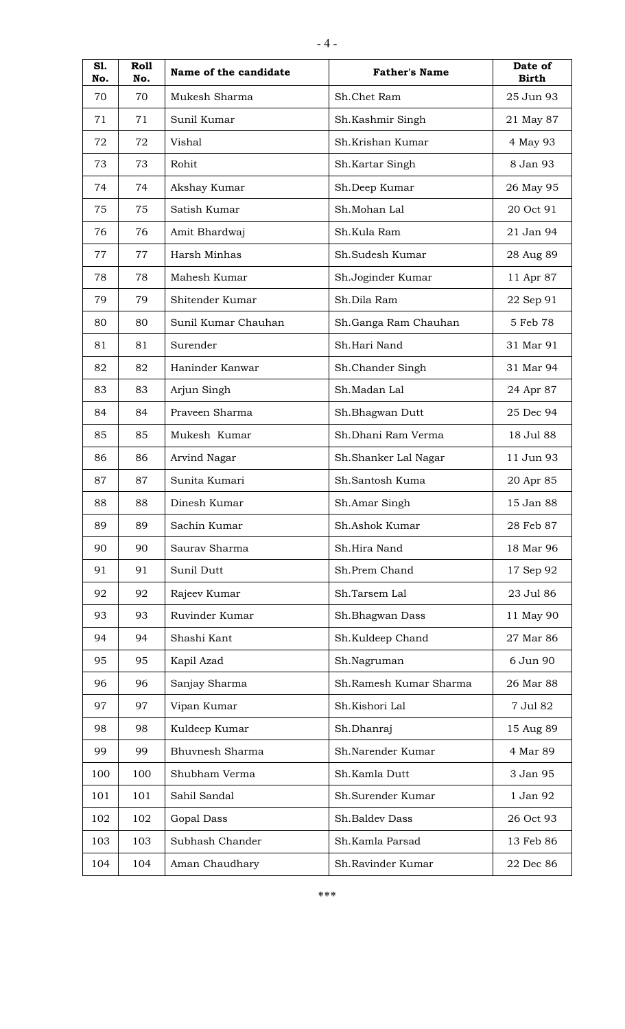| S1.<br>No. | Roll<br>No. | Name of the candidate | <b>Father's Name</b>   | Date of<br><b>Birth</b> |
|------------|-------------|-----------------------|------------------------|-------------------------|
| 70         | 70          | Mukesh Sharma         | Sh.Chet Ram            | 25 Jun 93               |
| 71         | 71          | Sunil Kumar           | Sh.Kashmir Singh       | 21 May 87               |
| 72         | 72          | Vishal                | Sh.Krishan Kumar       | 4 May 93                |
| 73         | 73          | Rohit                 | Sh.Kartar Singh        | 8 Jan 93                |
| 74         | 74          | Akshay Kumar          | Sh.Deep Kumar          | 26 May 95               |
| 75         | 75          | Satish Kumar          | Sh.Mohan Lal           | 20 Oct 91               |
| 76         | 76          | Amit Bhardwaj         | Sh.Kula Ram            | 21 Jan 94               |
| 77         | 77          | Harsh Minhas          | Sh.Sudesh Kumar        | 28 Aug 89               |
| 78         | 78          | Mahesh Kumar          | Sh.Joginder Kumar      | 11 Apr 87               |
| 79         | 79          | Shitender Kumar       | Sh.Dila Ram            | 22 Sep 91               |
| 80         | 80          | Sunil Kumar Chauhan   | Sh.Ganga Ram Chauhan   | 5 Feb 78                |
| 81         | 81          | Surender              | Sh.Hari Nand           | 31 Mar 91               |
| 82         | 82          | Haninder Kanwar       | Sh.Chander Singh       | 31 Mar 94               |
| 83         | 83          | Arjun Singh           | Sh.Madan Lal           | 24 Apr 87               |
| 84         | 84          | Praveen Sharma        | Sh.Bhagwan Dutt        | 25 Dec 94               |
| 85         | 85          | Mukesh Kumar          | Sh.Dhani Ram Verma     | 18 Jul 88               |
| 86         | 86          | <b>Arvind Nagar</b>   | Sh.Shanker Lal Nagar   | 11 Jun 93               |
| 87         | 87          | Sunita Kumari         | Sh.Santosh Kuma        | 20 Apr 85               |
| 88         | 88          | Dinesh Kumar          | Sh.Amar Singh          | 15 Jan 88               |
| 89         | 89          | Sachin Kumar          | Sh.Ashok Kumar         | 28 Feb 87               |
| 90         | 90          | Saurav Sharma         | Sh.Hira Nand           | 18 Mar 96               |
| 91         | 91          | Sunil Dutt            | Sh.Prem Chand          | 17 Sep 92               |
| 92         | 92          | Rajeev Kumar          | Sh.Tarsem Lal          | 23 Jul 86               |
| 93         | 93          | Ruvinder Kumar        | Sh.Bhagwan Dass        | 11 May 90               |
| 94         | 94          | Shashi Kant           | Sh.Kuldeep Chand       | 27 Mar 86               |
| 95         | 95          | Kapil Azad            | Sh.Nagruman            | 6 Jun 90                |
| 96         | 96          | Sanjay Sharma         | Sh.Ramesh Kumar Sharma | 26 Mar 88               |
| 97         | 97          | Vipan Kumar           | Sh.Kishori Lal         | 7 Jul 82                |
| 98         | 98          | Kuldeep Kumar         | Sh.Dhanraj             | 15 Aug 89               |
| 99         | 99          | Bhuvnesh Sharma       | Sh.Narender Kumar      | 4 Mar 89                |
| 100        | 100         | Shubham Verma         | Sh.Kamla Dutt          | 3 Jan 95                |
| 101        | 101         | Sahil Sandal          | Sh.Surender Kumar      | 1 Jan 92                |
| 102        | 102         | Gopal Dass            | Sh.Baldev Dass         | 26 Oct 93               |
| 103        | 103         | Subhash Chander       | Sh.Kamla Parsad        | 13 Feb 86               |
| 104        | 104         | Aman Chaudhary        | Sh.Ravinder Kumar      | 22 Dec 86               |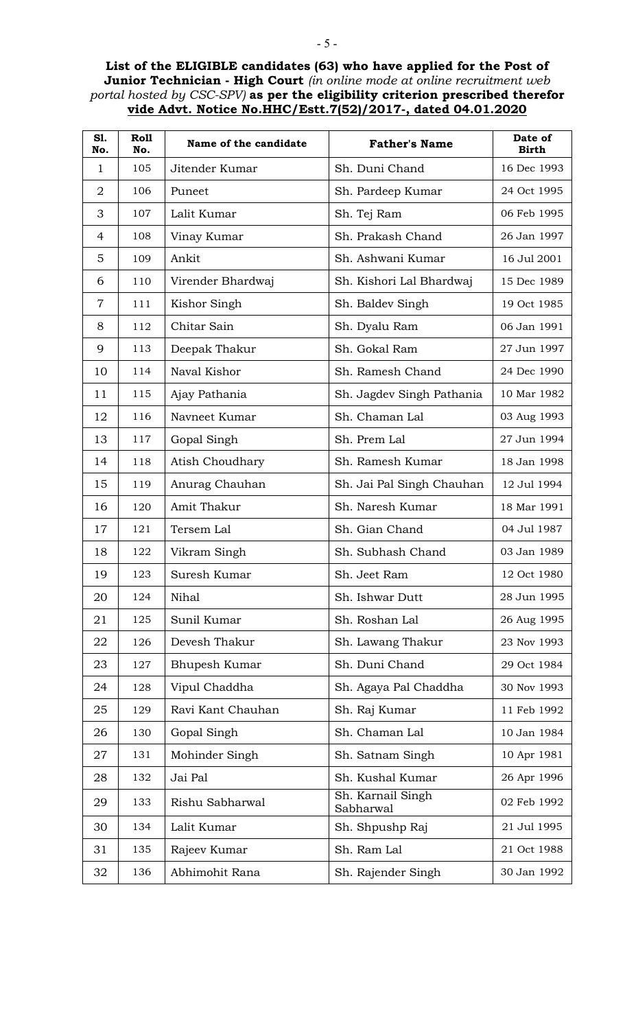## **List of the ELIGIBLE candidates (63) who have applied for the Post of Junior Technician - High Court** *(in online mode at online recruitment web portal hosted by CSC-SPV)* **as per the eligibility criterion prescribed therefor vide Advt. Notice No.HHC/Estt.7(52)/2017-, dated 04.01.2020**

| S1.<br>No.     | <b>Roll</b><br>No. | Name of the candidate | <b>Father's Name</b>           | Date of<br><b>Birth</b> |
|----------------|--------------------|-----------------------|--------------------------------|-------------------------|
| $\mathbf{1}$   | 105                | Jitender Kumar        | Sh. Duni Chand                 | 16 Dec 1993             |
| $\overline{2}$ | 106                | Puneet                | Sh. Pardeep Kumar              | 24 Oct 1995             |
| 3              | 107                | Lalit Kumar           | Sh. Tej Ram                    | 06 Feb 1995             |
| 4              | 108                | Vinay Kumar           | Sh. Prakash Chand              | 26 Jan 1997             |
| 5              | 109                | Ankit                 | Sh. Ashwani Kumar              | 16 Jul 2001             |
| 6              | 110                | Virender Bhardwaj     | Sh. Kishori Lal Bhardwaj       | 15 Dec 1989             |
| $\overline{7}$ | 111                | Kishor Singh          | Sh. Baldev Singh               | 19 Oct 1985             |
| 8              | 112                | Chitar Sain           | Sh. Dyalu Ram                  | 06 Jan 1991             |
| 9              | 113                | Deepak Thakur         | Sh. Gokal Ram                  | 27 Jun 1997             |
| 10             | 114                | Naval Kishor          | Sh. Ramesh Chand               | 24 Dec 1990             |
| 11             | 115                | Ajay Pathania         | Sh. Jagdev Singh Pathania      | 10 Mar 1982             |
| 12             | 116                | Navneet Kumar         | Sh. Chaman Lal                 | 03 Aug 1993             |
| 13             | 117                | Gopal Singh           | Sh. Prem Lal                   | 27 Jun 1994             |
| 14             | 118                | Atish Choudhary       | Sh. Ramesh Kumar               | 18 Jan 1998             |
| 15             | 119                | Anurag Chauhan        | Sh. Jai Pal Singh Chauhan      | 12 Jul 1994             |
| 16             | 120                | Amit Thakur           | Sh. Naresh Kumar               | 18 Mar 1991             |
| 17             | 121                | Tersem Lal            | Sh. Gian Chand                 | 04 Jul 1987             |
| 18             | 122                | Vikram Singh          | Sh. Subhash Chand              | 03 Jan 1989             |
| 19             | 123                | Suresh Kumar          | Sh. Jeet Ram                   | 12 Oct 1980             |
| 20             | 124                | Nihal                 | Sh. Ishwar Dutt                | 28 Jun 1995             |
| 21             | 125                | Sunil Kumar           | Sh. Roshan Lal                 | 26 Aug 1995             |
| 22             | 126                | Devesh Thakur         | Sh. Lawang Thakur              | 23 Nov 1993             |
| 23             | 127                | Bhupesh Kumar         | Sh. Duni Chand                 | 29 Oct 1984             |
| 24             | 128                | Vipul Chaddha         | Sh. Agaya Pal Chaddha          | 30 Nov 1993             |
| 25             | 129                | Ravi Kant Chauhan     | Sh. Raj Kumar                  | 11 Feb 1992             |
| 26             | 130                | Gopal Singh           | Sh. Chaman Lal                 | 10 Jan 1984             |
| 27             | 131                | Mohinder Singh        | Sh. Satnam Singh               | 10 Apr 1981             |
| 28             | 132                | Jai Pal               | Sh. Kushal Kumar               | 26 Apr 1996             |
| 29             | 133                | Rishu Sabharwal       | Sh. Karnail Singh<br>Sabharwal | 02 Feb 1992             |
| 30             | 134                | Lalit Kumar           | Sh. Shpushp Raj                | 21 Jul 1995             |
| 31             | 135                | Rajeev Kumar          | Sh. Ram Lal                    | 21 Oct 1988             |
| 32             | 136                | Abhimohit Rana        | Sh. Rajender Singh             | 30 Jan 1992             |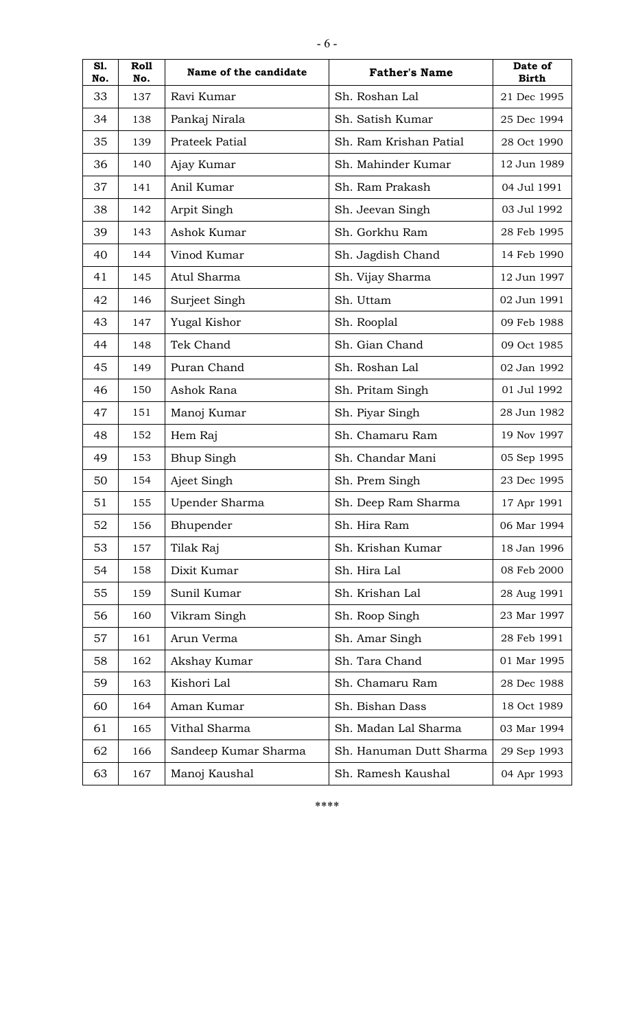| S1.<br>No. | Roll<br>No. | Name of the candidate | <b>Father's Name</b>    | Date of<br><b>Birth</b> |
|------------|-------------|-----------------------|-------------------------|-------------------------|
| 33         | 137         | Ravi Kumar            | Sh. Roshan Lal          | 21 Dec 1995             |
| 34         | 138         | Pankaj Nirala         | Sh. Satish Kumar        | 25 Dec 1994             |
| 35         | 139         | Prateek Patial        | Sh. Ram Krishan Patial  | 28 Oct 1990             |
| 36         | 140         | Ajay Kumar            | Sh. Mahinder Kumar      | 12 Jun 1989             |
| 37         | 141         | Anil Kumar            | Sh. Ram Prakash         | 04 Jul 1991             |
| 38         | 142         | Arpit Singh           | Sh. Jeevan Singh        | 03 Jul 1992             |
| 39         | 143         | Ashok Kumar           | Sh. Gorkhu Ram          | 28 Feb 1995             |
| 40         | 144         | Vinod Kumar           | Sh. Jagdish Chand       | 14 Feb 1990             |
| 41         | 145         | Atul Sharma           | Sh. Vijay Sharma        | 12 Jun 1997             |
| 42         | 146         | Surjeet Singh         | Sh. Uttam               | 02 Jun 1991             |
| 43         | 147         | Yugal Kishor          | Sh. Rooplal             | 09 Feb 1988             |
| 44         | 148         | Tek Chand             | Sh. Gian Chand          | 09 Oct 1985             |
| 45         | 149         | Puran Chand           | Sh. Roshan Lal          | 02 Jan 1992             |
| 46         | 150         | Ashok Rana            | Sh. Pritam Singh        | 01 Jul 1992             |
| 47         | 151         | Manoj Kumar           | Sh. Piyar Singh         | 28 Jun 1982             |
| 48         | 152         | Hem Raj               | Sh. Chamaru Ram         | 19 Nov 1997             |
| 49         | 153         | <b>Bhup Singh</b>     | Sh. Chandar Mani        | 05 Sep 1995             |
| 50         | 154         | Ajeet Singh           | Sh. Prem Singh          | 23 Dec 1995             |
| 51         | 155         | Upender Sharma        | Sh. Deep Ram Sharma     | 17 Apr 1991             |
| 52         | 156         | Bhupender             | Sh. Hira Ram            | 06 Mar 1994             |
| 53         | 157         | Tilak Raj             | Sh. Krishan Kumar       | 18 Jan 1996             |
| 54         | 158         | Dixit Kumar           | Sh. Hira Lal            | 08 Feb 2000             |
| 55         | 159         | Sunil Kumar           | Sh. Krishan Lal         | 28 Aug 1991             |
| 56         | 160         | Vikram Singh          | Sh. Roop Singh          | 23 Mar 1997             |
| 57         | 161         | Arun Verma            | Sh. Amar Singh          | 28 Feb 1991             |
| 58         | 162         | Akshay Kumar          | Sh. Tara Chand          | 01 Mar 1995             |
| 59         | 163         | Kishori Lal           | Sh. Chamaru Ram         | 28 Dec 1988             |
| 60         | 164         | Aman Kumar            | Sh. Bishan Dass         | 18 Oct 1989             |
| 61         | 165         | Vithal Sharma         | Sh. Madan Lal Sharma    | 03 Mar 1994             |
| 62         | 166         | Sandeep Kumar Sharma  | Sh. Hanuman Dutt Sharma | 29 Sep 1993             |
| 63         | 167         | Manoj Kaushal         | Sh. Ramesh Kaushal      | 04 Apr 1993             |

\*\*\*\*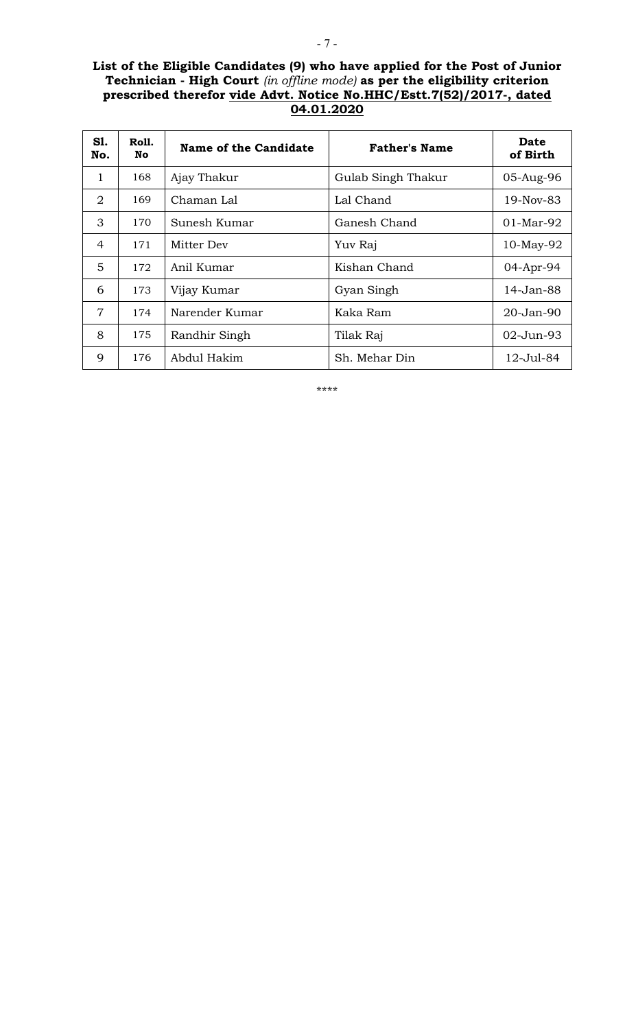## **List of the Eligible Candidates (9) who have applied for the Post of Junior Technician - High Court** *(in offline mode)* **as per the eligibility criterion prescribed therefor vide Advt. Notice No.HHC/Estt.7(52)/2017-, dated 04.01.2020**

| S1.<br>No.     | Roll.<br>No. | <b>Name of the Candidate</b> | <b>Father's Name</b> | <b>Date</b><br>of Birth |
|----------------|--------------|------------------------------|----------------------|-------------------------|
| 1              | 168          | Ajay Thakur                  | Gulab Singh Thakur   | 05-Aug-96               |
| 2              | 169          | Chaman Lal                   | Lal Chand            | 19-Nov-83               |
| 3              | 170          | Sunesh Kumar                 | Ganesh Chand         | $01-Mar-92$             |
| 4              | 171          | Mitter Dev                   | Yuv Raj              | $10$ -May-92            |
| 5              | 172          | Anil Kumar                   | Kishan Chand         | 04-Apr-94               |
| 6              | 173          | Vijay Kumar                  | Gyan Singh           | 14-Jan-88               |
| $\overline{7}$ | 174          | Narender Kumar               | Kaka Ram             | 20-Jan-90               |
| 8              | 175          | Randhir Singh                | Tilak Raj            | 02-Jun-93               |
| 9              | 176          | Abdul Hakim                  | Sh. Mehar Din        | 12-Jul-84               |

\*\*\*\*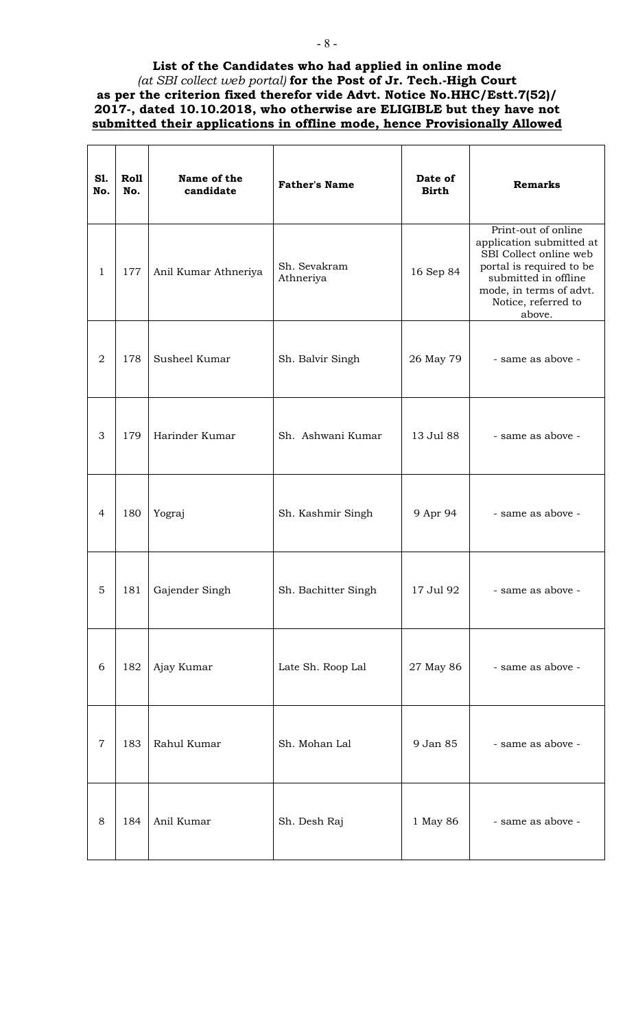## **List of the Candidates who had applied in online mode** *(at SBI collect web portal)* **for the Post of Jr. Tech.-High Court as per the criterion fixed therefor vide Advt. Notice No.HHC/Estt.7(52)/ 2017-, dated 10.10.2018, who otherwise are ELIGIBLE but they have not submitted their applications in offline mode, hence Provisionally Allowed**

| <b>S1.</b><br>No. | Roll<br>No. | Name of the<br>candidate | <b>Father's Name</b>      | Date of<br><b>Birth</b> | <b>Remarks</b>                                                                                                                                                                            |
|-------------------|-------------|--------------------------|---------------------------|-------------------------|-------------------------------------------------------------------------------------------------------------------------------------------------------------------------------------------|
| $\mathbf{1}$      | 177         | Anil Kumar Athneriya     | Sh. Sevakram<br>Athneriya | 16 Sep 84               | Print-out of online<br>application submitted at<br>SBI Collect online web<br>portal is required to be<br>submitted in offline<br>mode, in terms of advt.<br>Notice, referred to<br>above. |
| $\overline{2}$    | 178         | Susheel Kumar            | Sh. Balvir Singh          | 26 May 79               | - same as above -                                                                                                                                                                         |
| 3                 | 179         | Harinder Kumar           | Sh. Ashwani Kumar         | 13 Jul 88               | - same as above -                                                                                                                                                                         |
| $\overline{4}$    | 180         | Yograj                   | Sh. Kashmir Singh         | 9 Apr 94                | - same as above -                                                                                                                                                                         |
| 5                 | 181         | Gajender Singh           | Sh. Bachitter Singh       | 17 Jul 92               | - same as above -                                                                                                                                                                         |
| 6                 | 182         | Ajay Kumar               | Late Sh. Roop Lal         | 27 May 86               | - same as above -                                                                                                                                                                         |
| $\overline{7}$    | 183         | Rahul Kumar              | Sh. Mohan Lal             | 9 Jan 85                | - same as above -                                                                                                                                                                         |
| 8                 | 184         | Anil Kumar               | Sh. Desh Raj              | 1 May 86                | - same as above -                                                                                                                                                                         |